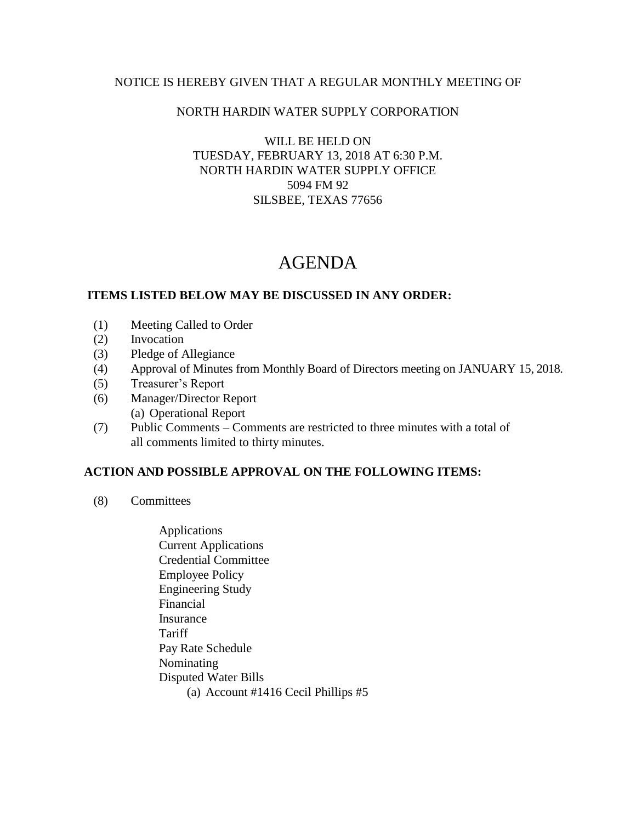## NOTICE IS HEREBY GIVEN THAT A REGULAR MONTHLY MEETING OF

### NORTH HARDIN WATER SUPPLY CORPORATION

### WILL BE HELD ON TUESDAY, FEBRUARY 13, 2018 AT 6:30 P.M. NORTH HARDIN WATER SUPPLY OFFICE 5094 FM 92 SILSBEE, TEXAS 77656

# AGENDA

#### **ITEMS LISTED BELOW MAY BE DISCUSSED IN ANY ORDER:**

- (1) Meeting Called to Order
- (2) Invocation
- (3) Pledge of Allegiance
- (4) Approval of Minutes from Monthly Board of Directors meeting on JANUARY 15, 2018.
- (5) Treasurer's Report
- (6) Manager/Director Report (a) Operational Report
- (7) Public Comments Comments are restricted to three minutes with a total of all comments limited to thirty minutes.

### **ACTION AND POSSIBLE APPROVAL ON THE FOLLOWING ITEMS:**

- (8) Committees
	- Applications Current Applications Credential Committee Employee Policy Engineering Study Financial Insurance **Tariff**  Pay Rate Schedule Nominating Disputed Water Bills (a) Account #1416 Cecil Phillips #5